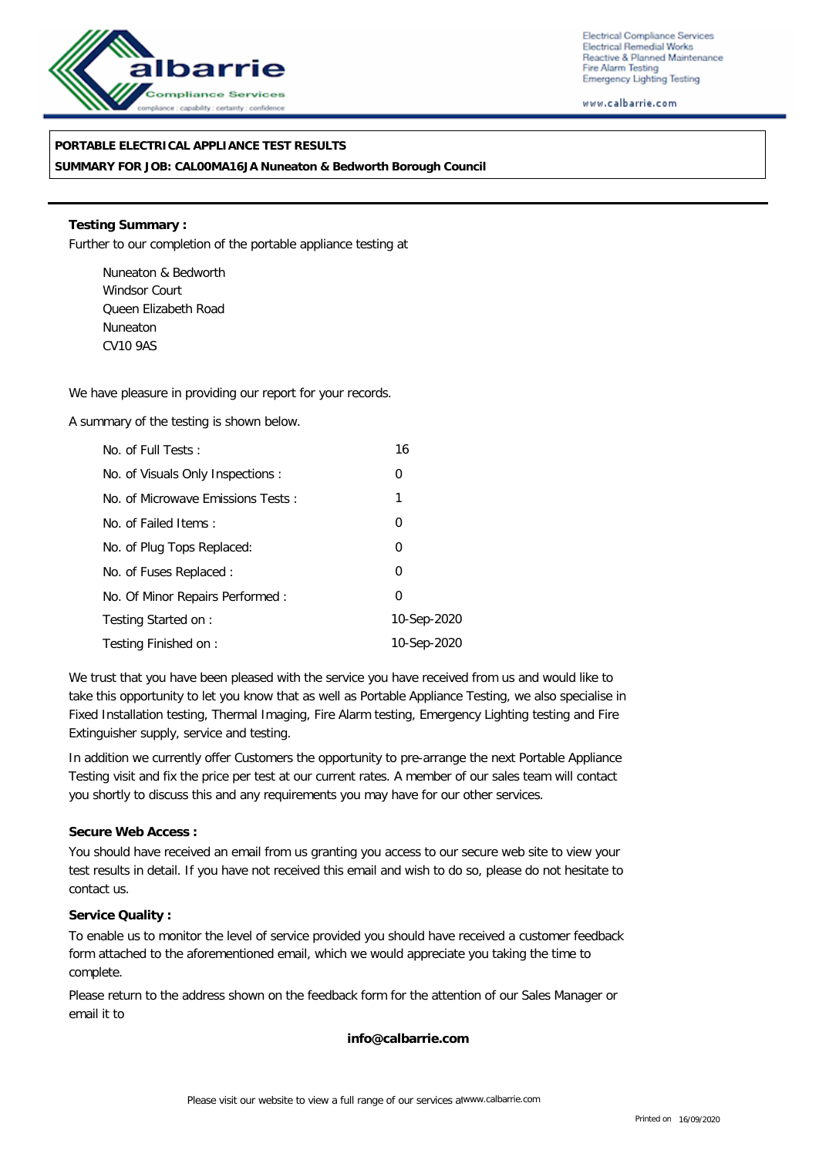

Electrical Compliance Services Electrical Remedial Works Reactive & Planned Maintenance Fire Alarm Testing **Emergency Lighting Testing** 

www.calbarrie.com

## **PORTABLE ELECTRICAL APPLIANCE TEST RESULTS**

**SUMMARY FOR JOB: CAL00MA16JA Nuneaton & Bedworth Borough Council**

**Testing Summary :** Further to our completion of the portable appliance testing at

Nuneaton & Bedworth Windsor Court Queen Elizabeth Road Nuneaton CV10 9AS

We have pleasure in providing our report for your records.

A summary of the testing is shown below.

| No. of Full Tests:                | 16             |
|-----------------------------------|----------------|
| No. of Visuals Only Inspections : | 0              |
| No. of Microwave Emissions Tests: | 1              |
| No. of Failed Items:              | $\overline{0}$ |
| No. of Plug Tops Replaced:        | 0              |
| No. of Fuses Replaced:            | 0              |
| No. Of Minor Repairs Performed:   | 0              |
| Testing Started on:               | 10-Sep-2020    |
| Testing Finished on:              | 10-Sep-2020    |

We trust that you have been pleased with the service you have received from us and would like to take this opportunity to let you know that as well as Portable Appliance Testing, we also specialise in Fixed Installation testing, Thermal Imaging, Fire Alarm testing, Emergency Lighting testing and Fire Extinguisher supply, service and testing.

In addition we currently offer Customers the opportunity to pre-arrange the next Portable Appliance Testing visit and fix the price per test at our current rates. A member of our sales team will contact you shortly to discuss this and any requirements you may have for our other services.

**Secure Web Access :**

You should have received an email from us granting you access to our secure web site to view your test results in detail. If you have not received this email and wish to do so, please do not hesitate to contact us.

**Service Quality :**

To enable us to monitor the level of service provided you should have received a customer feedback form attached to the aforementioned email, which we would appreciate you taking the time to complete.

Please return to the address shown on the feedback form for the attention of our Sales Manager or email it to

**info@calbarrie.com**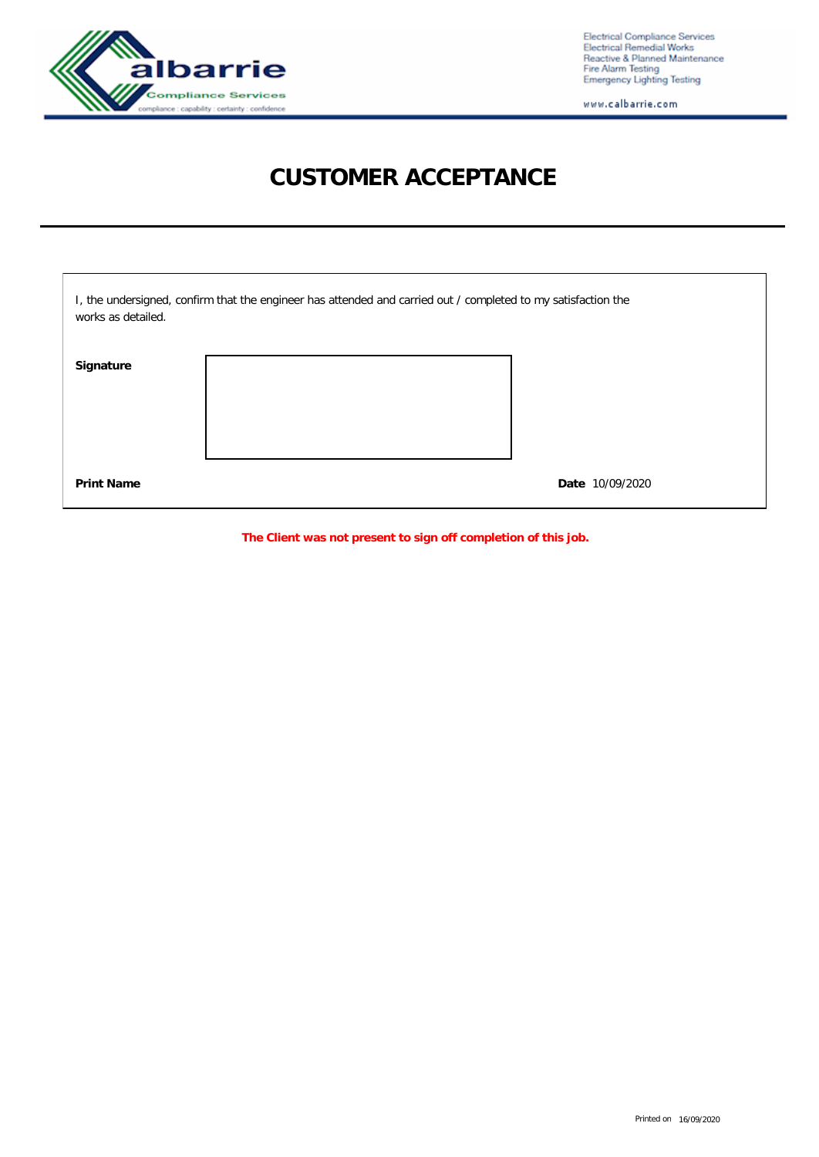

Electrical Compliance Services<br>Electrical Remedial Works<br>Reactive & Planned Maintenance<br>Fire Alarm Testing<br>Emergency Lighting Testing

www.calbarrie.com

## **CUSTOMER ACCEPTANCE**

| works as detailed. | I, the undersigned, confirm that the engineer has attended and carried out / completed to my satisfaction the |                 |
|--------------------|---------------------------------------------------------------------------------------------------------------|-----------------|
| Signature          |                                                                                                               |                 |
| <b>Print Name</b>  |                                                                                                               | Date 10/09/2020 |

**The Client was not present to sign off completion of this job.**